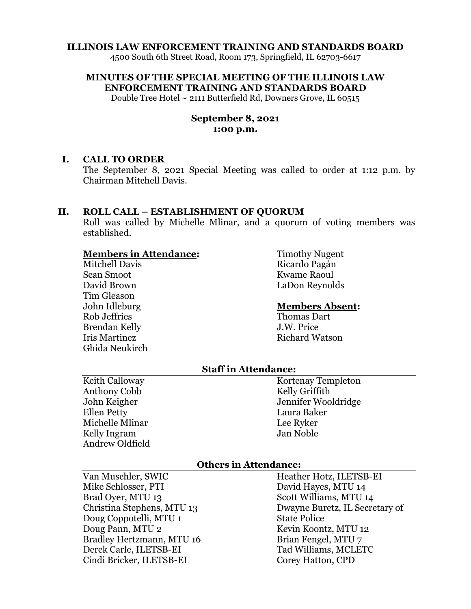### **ILLINOIS LAW ENFORCEMENT TRAINING AND STANDARDS BOARD**

4500 South 6th Street Road, Room 173, Springfield, IL 62703-6617

**MINUTES OF THE SPECIAL MEETING OF THE ILLINOIS LAW ENFORCEMENT TRAINING AND STANDARDS BOARD**

Double Tree Hotel ~ 2111 Butterfield Rd, Downers Grove, IL 60515

## **September 8, 2021 1:00 p.m.**

### **I. CALL TO ORDER**

The September 8, 2021 Special Meeting was called to order at 1:12 p.m. by Chairman Mitchell Davis.

### **II. ROLL CALL – ESTABLISHMENT OF QUORUM**

Roll was called by Michelle Mlinar, and a quorum of voting members was established.

### **Members in Attendance:**

Mitchell Davis Sean Smoot David Brown Tim Gleason John Idleburg Rob Jeffries Brendan Kelly Iris Martinez Ghida Neukirch Timothy Nugent Ricardo Pagán Kwame Raoul LaDon Reynolds

#### **Members Absent:**

Thomas Dart J.W. Price Richard Watson

## **Staff in Attendance:**

Keith Calloway Anthony Cobb John Keigher Ellen Petty Michelle Mlinar Kelly Ingram Andrew Oldfield Kortenay Templeton Kelly Griffith Jennifer Wooldridge Laura Baker Lee Ryker Jan Noble

## **Others in Attendance:**

Van Muschler, SWIC Mike Schlosser, PTI Brad Oyer, MTU 13 Christina Stephens, MTU 13 Doug Coppotelli, MTU 1 Doug Pann, MTU 2 Bradley Hertzmann, MTU 16 Derek Carle, ILETSB-EI Cindi Bricker, ILETSB-EI

Heather Hotz, ILETSB-EI David Hayes, MTU 14 Scott Williams, MTU 14 Dwayne Buretz, IL Secretary of State Police Kevin Koontz, MTU 12 Brian Fengel, MTU 7 Tad Williams, MCLETC Corey Hatton, CPD